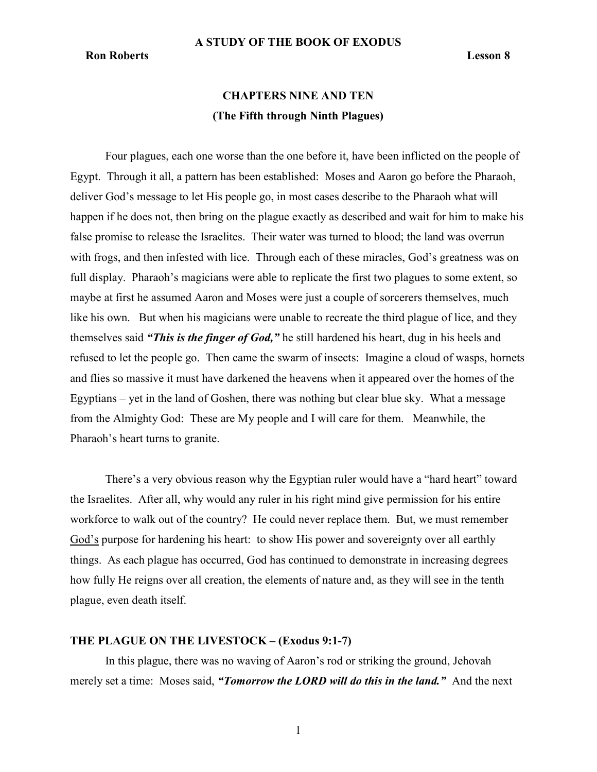# Ron Roberts Lesson 8

# CHAPTERS NINE AND TEN (The Fifth through Ninth Plagues)

Four plagues, each one worse than the one before it, have been inflicted on the people of Egypt. Through it all, a pattern has been established: Moses and Aaron go before the Pharaoh, deliver God's message to let His people go, in most cases describe to the Pharaoh what will happen if he does not, then bring on the plague exactly as described and wait for him to make his false promise to release the Israelites. Their water was turned to blood; the land was overrun with frogs, and then infested with lice. Through each of these miracles, God's greatness was on full display. Pharaoh's magicians were able to replicate the first two plagues to some extent, so maybe at first he assumed Aaron and Moses were just a couple of sorcerers themselves, much like his own. But when his magicians were unable to recreate the third plague of lice, and they themselves said "This is the finger of God," he still hardened his heart, dug in his heels and refused to let the people go. Then came the swarm of insects: Imagine a cloud of wasps, hornets and flies so massive it must have darkened the heavens when it appeared over the homes of the Egyptians – yet in the land of Goshen, there was nothing but clear blue sky. What a message from the Almighty God: These are My people and I will care for them. Meanwhile, the Pharaoh's heart turns to granite.

There's a very obvious reason why the Egyptian ruler would have a "hard heart" toward the Israelites. After all, why would any ruler in his right mind give permission for his entire workforce to walk out of the country? He could never replace them. But, we must remember God's purpose for hardening his heart: to show His power and sovereignty over all earthly things. As each plague has occurred, God has continued to demonstrate in increasing degrees how fully He reigns over all creation, the elements of nature and, as they will see in the tenth plague, even death itself.

### THE PLAGUE ON THE LIVESTOCK – (Exodus 9:1-7)

In this plague, there was no waving of Aaron's rod or striking the ground, Jehovah merely set a time: Moses said, "Tomorrow the LORD will do this in the land." And the next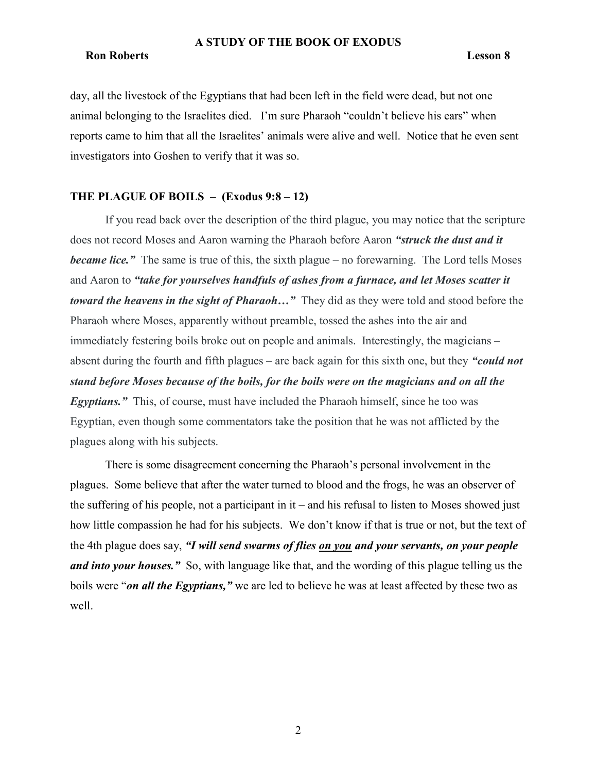# **Ron Roberts** Lesson 8

day, all the livestock of the Egyptians that had been left in the field were dead, but not one animal belonging to the Israelites died. I'm sure Pharaoh "couldn't believe his ears" when reports came to him that all the Israelites' animals were alive and well. Notice that he even sent investigators into Goshen to verify that it was so.

### THE PLAGUE OF BOILS  $-$  (Exodus 9:8 – 12)

If you read back over the description of the third plague, you may notice that the scripture does not record Moses and Aaron warning the Pharaoh before Aaron "struck the dust and it **became lice.**" The same is true of this, the sixth plague – no forewarning. The Lord tells Moses and Aaron to "take for yourselves handfuls of ashes from a furnace, and let Moses scatter it toward the heavens in the sight of Pharaoh..." They did as they were told and stood before the Pharaoh where Moses, apparently without preamble, tossed the ashes into the air and immediately festering boils broke out on people and animals. Interestingly, the magicians – absent during the fourth and fifth plagues – are back again for this sixth one, but they "could not stand before Moses because of the boils, for the boils were on the magicians and on all the Egyptians." This, of course, must have included the Pharaoh himself, since he too was Egyptian, even though some commentators take the position that he was not afflicted by the plagues along with his subjects.

There is some disagreement concerning the Pharaoh's personal involvement in the plagues. Some believe that after the water turned to blood and the frogs, he was an observer of the suffering of his people, not a participant in it – and his refusal to listen to Moses showed just how little compassion he had for his subjects. We don't know if that is true or not, but the text of the 4th plague does say, "I will send swarms of flies on you and your servants, on your people and into your houses." So, with language like that, and the wording of this plague telling us the boils were "on all the Egyptians," we are led to believe he was at least affected by these two as well.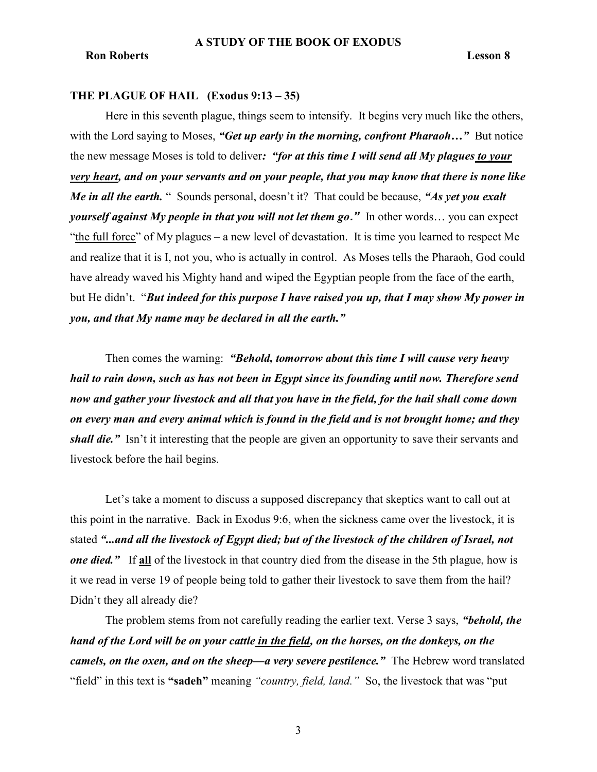### THE PLAGUE OF HAIL (Exodus 9:13 – 35)

Here in this seventh plague, things seem to intensify. It begins very much like the others, with the Lord saying to Moses, "Get up early in the morning, confront Pharaoh..." But notice the new message Moses is told to deliver: "for at this time I will send all My plagues to your very heart, and on your servants and on your people, that you may know that there is none like Me in all the earth. " Sounds personal, doesn't it? That could be because, "As yet you exalt *yourself against My people in that you will not let them go.*" In other words... you can expect "the full force" of My plagues – a new level of devastation. It is time you learned to respect Me and realize that it is I, not you, who is actually in control. As Moses tells the Pharaoh, God could have already waved his Mighty hand and wiped the Egyptian people from the face of the earth, but He didn't. "But indeed for this purpose I have raised you up, that I may show My power in you, and that My name may be declared in all the earth."

Then comes the warning: "Behold, tomorrow about this time I will cause very heavy hail to rain down, such as has not been in Egypt since its founding until now. Therefore send now and gather your livestock and all that you have in the field, for the hail shall come down on every man and every animal which is found in the field and is not brought home; and they shall die." Isn't it interesting that the people are given an opportunity to save their servants and livestock before the hail begins.

 Let's take a moment to discuss a supposed discrepancy that skeptics want to call out at this point in the narrative. Back in Exodus 9:6, when the sickness came over the livestock, it is stated "...and all the livestock of Egypt died; but of the livestock of the children of Israel, not one died." If all of the livestock in that country died from the disease in the 5th plague, how is it we read in verse 19 of people being told to gather their livestock to save them from the hail? Didn't they all already die?

The problem stems from not carefully reading the earlier text. Verse 3 says, "behold, the hand of the Lord will be on your cattle in the field, on the horses, on the donkeys, on the camels, on the oxen, and on the sheep—a very severe pestilence." The Hebrew word translated "field" in this text is "sadeh" meaning "country, field, land." So, the livestock that was "put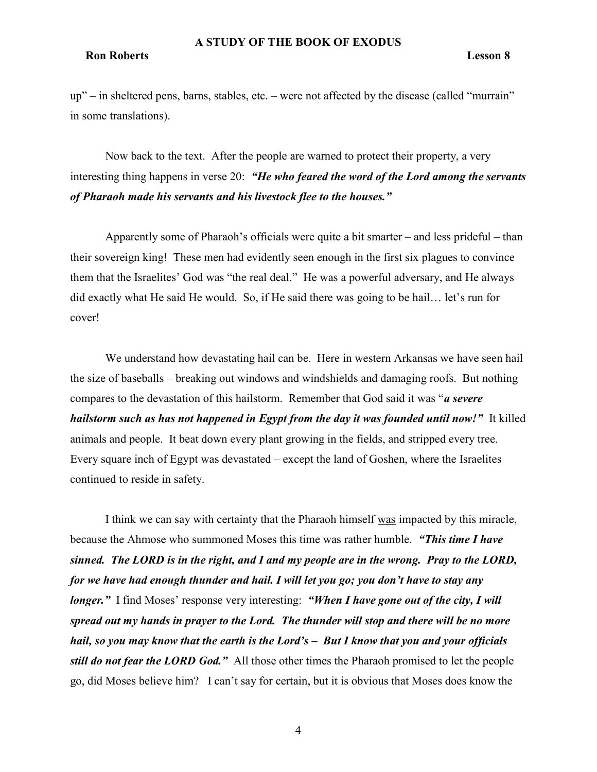# Ron Roberts Lesson 8

up" – in sheltered pens, barns, stables, etc. – were not affected by the disease (called "murrain" in some translations).

Now back to the text. After the people are warned to protect their property, a very interesting thing happens in verse 20: "He who feared the word of the Lord among the servants of Pharaoh made his servants and his livestock flee to the houses."

Apparently some of Pharaoh's officials were quite a bit smarter – and less prideful – than their sovereign king! These men had evidently seen enough in the first six plagues to convince them that the Israelites' God was "the real deal." He was a powerful adversary, and He always did exactly what He said He would. So, if He said there was going to be hail… let's run for cover!

We understand how devastating hail can be. Here in western Arkansas we have seen hail the size of baseballs – breaking out windows and windshields and damaging roofs. But nothing compares to the devastation of this hailstorm. Remember that God said it was "*a severe* hailstorm such as has not happened in Egypt from the day it was founded until now!" It killed animals and people. It beat down every plant growing in the fields, and stripped every tree. Every square inch of Egypt was devastated – except the land of Goshen, where the Israelites continued to reside in safety.

I think we can say with certainty that the Pharaoh himself was impacted by this miracle, because the Ahmose who summoned Moses this time was rather humble. "This time I have sinned. The LORD is in the right, and I and my people are in the wrong. Pray to the LORD, for we have had enough thunder and hail. I will let you go; you don't have to stay any longer." I find Moses' response very interesting: "When I have gone out of the city, I will spread out my hands in prayer to the Lord. The thunder will stop and there will be no more hail, so you may know that the earth is the Lord's – But I know that you and your officials still do not fear the LORD God." All those other times the Pharaoh promised to let the people go, did Moses believe him? I can't say for certain, but it is obvious that Moses does know the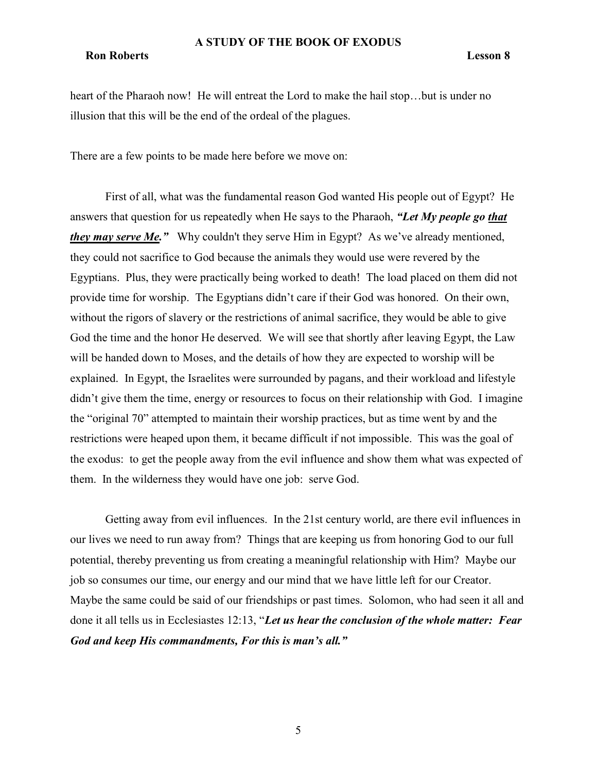#### Ron Roberts Lesson 8

heart of the Pharaoh now! He will entreat the Lord to make the hail stop...but is under no illusion that this will be the end of the ordeal of the plagues.

There are a few points to be made here before we move on:

First of all, what was the fundamental reason God wanted His people out of Egypt? He answers that question for us repeatedly when He says to the Pharaoh, "Let My people go that they may serve Me." Why couldn't they serve Him in Egypt? As we've already mentioned, they could not sacrifice to God because the animals they would use were revered by the Egyptians. Plus, they were practically being worked to death! The load placed on them did not provide time for worship. The Egyptians didn't care if their God was honored. On their own, without the rigors of slavery or the restrictions of animal sacrifice, they would be able to give God the time and the honor He deserved. We will see that shortly after leaving Egypt, the Law will be handed down to Moses, and the details of how they are expected to worship will be explained. In Egypt, the Israelites were surrounded by pagans, and their workload and lifestyle didn't give them the time, energy or resources to focus on their relationship with God. I imagine the "original 70" attempted to maintain their worship practices, but as time went by and the restrictions were heaped upon them, it became difficult if not impossible. This was the goal of the exodus: to get the people away from the evil influence and show them what was expected of them. In the wilderness they would have one job: serve God.

Getting away from evil influences. In the 21st century world, are there evil influences in our lives we need to run away from? Things that are keeping us from honoring God to our full potential, thereby preventing us from creating a meaningful relationship with Him? Maybe our job so consumes our time, our energy and our mind that we have little left for our Creator. Maybe the same could be said of our friendships or past times. Solomon, who had seen it all and done it all tells us in Ecclesiastes 12:13, "Let us hear the conclusion of the whole matter: Fear God and keep His commandments, For this is man's all."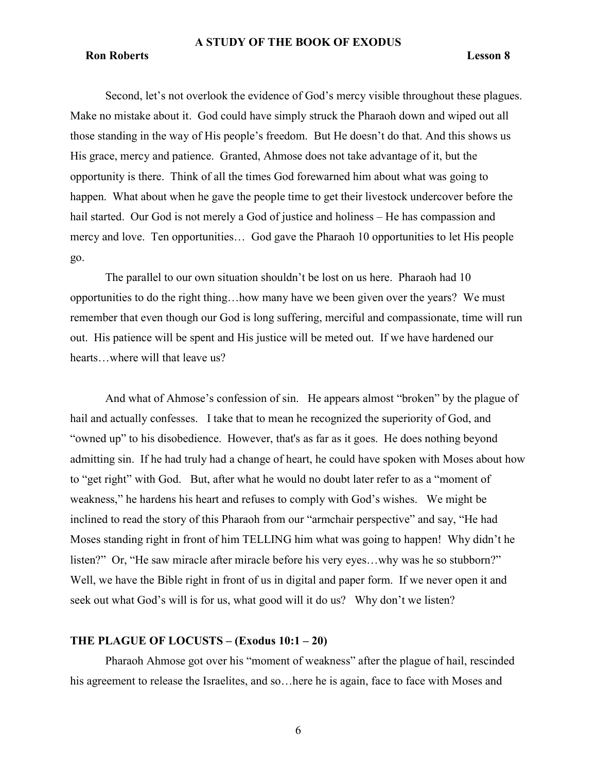#### Ron Roberts Lesson 8

Second, let's not overlook the evidence of God's mercy visible throughout these plagues. Make no mistake about it. God could have simply struck the Pharaoh down and wiped out all those standing in the way of His people's freedom. But He doesn't do that. And this shows us His grace, mercy and patience. Granted, Ahmose does not take advantage of it, but the opportunity is there. Think of all the times God forewarned him about what was going to happen. What about when he gave the people time to get their livestock undercover before the hail started. Our God is not merely a God of justice and holiness – He has compassion and mercy and love. Ten opportunities… God gave the Pharaoh 10 opportunities to let His people go.

The parallel to our own situation shouldn't be lost on us here. Pharaoh had 10 opportunities to do the right thing…how many have we been given over the years? We must remember that even though our God is long suffering, merciful and compassionate, time will run out. His patience will be spent and His justice will be meted out. If we have hardened our hearts…where will that leave us?

And what of Ahmose's confession of sin. He appears almost "broken" by the plague of hail and actually confesses. I take that to mean he recognized the superiority of God, and "owned up" to his disobedience. However, that's as far as it goes. He does nothing beyond admitting sin. If he had truly had a change of heart, he could have spoken with Moses about how to "get right" with God. But, after what he would no doubt later refer to as a "moment of weakness," he hardens his heart and refuses to comply with God's wishes. We might be inclined to read the story of this Pharaoh from our "armchair perspective" and say, "He had Moses standing right in front of him TELLING him what was going to happen! Why didn't he listen?" Or, "He saw miracle after miracle before his very eyes…why was he so stubborn?" Well, we have the Bible right in front of us in digital and paper form. If we never open it and seek out what God's will is for us, what good will it do us? Why don't we listen?

### THE PLAGUE OF LOCUSTS – (Exodus 10:1 – 20)

Pharaoh Ahmose got over his "moment of weakness" after the plague of hail, rescinded his agreement to release the Israelites, and so…here he is again, face to face with Moses and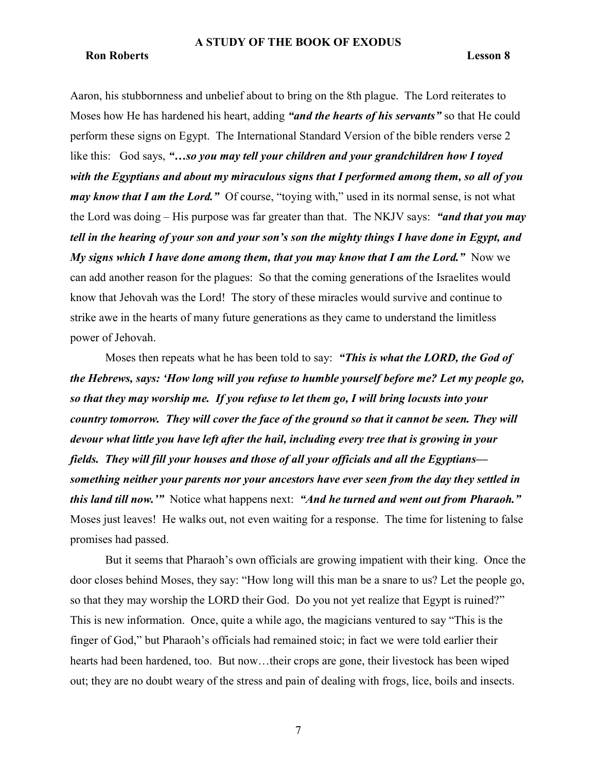# Ron Roberts Lesson 8

Aaron, his stubbornness and unbelief about to bring on the 8th plague. The Lord reiterates to Moses how He has hardened his heart, adding "and the hearts of his servants" so that He could perform these signs on Egypt. The International Standard Version of the bible renders verse 2 like this: God says, "...so you may tell your children and your grandchildren how I toyed with the Egyptians and about my miraculous signs that I performed among them, so all of you may know that I am the Lord." Of course, "toying with," used in its normal sense, is not what the Lord was doing – His purpose was far greater than that. The NKJV says: "and that you may tell in the hearing of your son and your son's son the mighty things I have done in Egypt, and My signs which I have done among them, that you may know that I am the Lord." Now we can add another reason for the plagues: So that the coming generations of the Israelites would know that Jehovah was the Lord! The story of these miracles would survive and continue to strike awe in the hearts of many future generations as they came to understand the limitless power of Jehovah.

Moses then repeats what he has been told to say: "This is what the LORD, the God of the Hebrews, says: 'How long will you refuse to humble yourself before me? Let my people go, so that they may worship me. If you refuse to let them go, I will bring locusts into your country tomorrow. They will cover the face of the ground so that it cannot be seen. They will devour what little you have left after the hail, including every tree that is growing in your fields. They will fill your houses and those of all your officials and all the Egyptians something neither your parents nor your ancestors have ever seen from the day they settled in this land till now." Notice what happens next: "And he turned and went out from Pharaoh." Moses just leaves! He walks out, not even waiting for a response. The time for listening to false promises had passed.

But it seems that Pharaoh's own officials are growing impatient with their king. Once the door closes behind Moses, they say: "How long will this man be a snare to us? Let the people go, so that they may worship the LORD their God. Do you not yet realize that Egypt is ruined?" This is new information. Once, quite a while ago, the magicians ventured to say "This is the finger of God," but Pharaoh's officials had remained stoic; in fact we were told earlier their hearts had been hardened, too. But now…their crops are gone, their livestock has been wiped out; they are no doubt weary of the stress and pain of dealing with frogs, lice, boils and insects.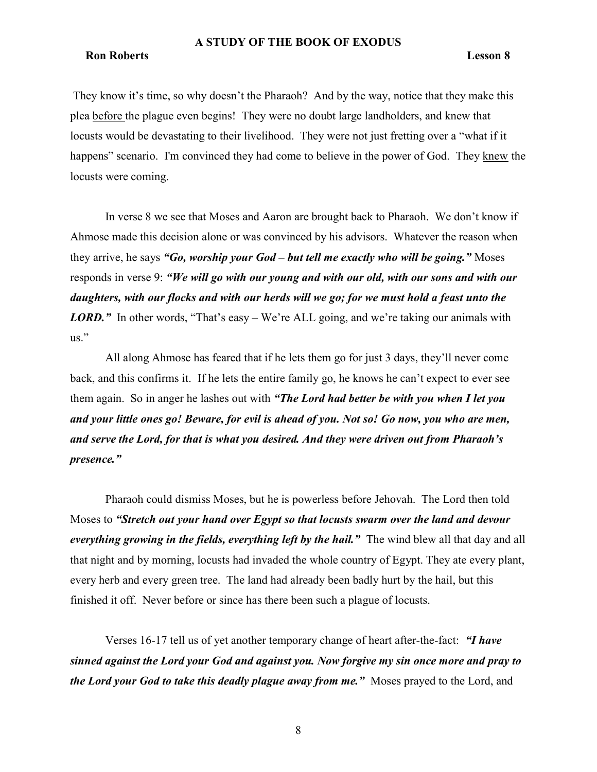### Ron Roberts Lesson 8

They know it's time, so why doesn't the Pharaoh? And by the way, notice that they make this plea before the plague even begins! They were no doubt large landholders, and knew that locusts would be devastating to their livelihood. They were not just fretting over a "what if it happens" scenario. I'm convinced they had come to believe in the power of God. They knew the locusts were coming.

In verse 8 we see that Moses and Aaron are brought back to Pharaoh. We don't know if Ahmose made this decision alone or was convinced by his advisors. Whatever the reason when they arrive, he says "Go, worship your God – but tell me exactly who will be going." Moses responds in verse 9: "We will go with our young and with our old, with our sons and with our daughters, with our flocks and with our herds will we go; for we must hold a feast unto the **LORD.**" In other words, "That's easy – We're ALL going, and we're taking our animals with us."

All along Ahmose has feared that if he lets them go for just 3 days, they'll never come back, and this confirms it. If he lets the entire family go, he knows he can't expect to ever see them again. So in anger he lashes out with "The Lord had better be with you when I let you and your little ones go! Beware, for evil is ahead of you. Not so! Go now, you who are men, and serve the Lord, for that is what you desired. And they were driven out from Pharaoh's presence."

Pharaoh could dismiss Moses, but he is powerless before Jehovah. The Lord then told Moses to "Stretch out your hand over Egypt so that locusts swarm over the land and devour everything growing in the fields, everything left by the hail." The wind blew all that day and all that night and by morning, locusts had invaded the whole country of Egypt. They ate every plant, every herb and every green tree. The land had already been badly hurt by the hail, but this finished it off. Never before or since has there been such a plague of locusts.

Verses 16-17 tell us of yet another temporary change of heart after-the-fact: "I have sinned against the Lord your God and against you. Now forgive my sin once more and pray to the Lord your God to take this deadly plague away from me." Moses prayed to the Lord, and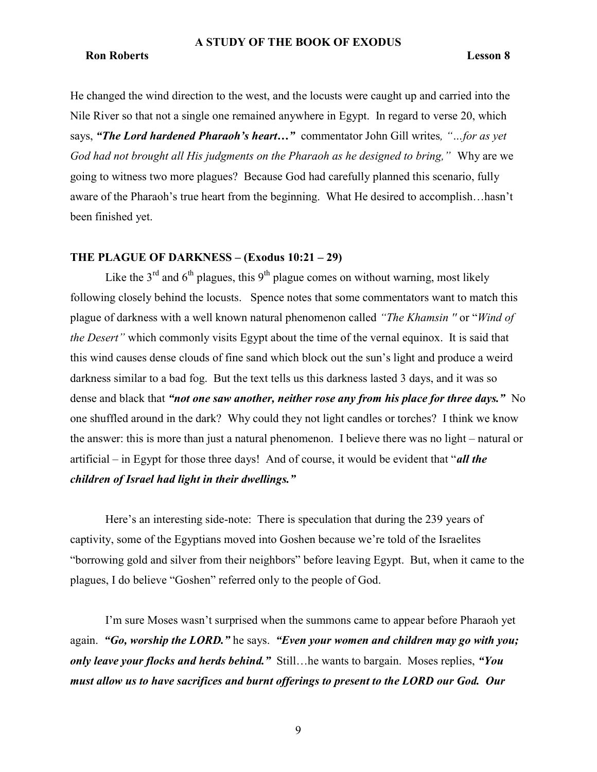### Ron Roberts Lesson 8

He changed the wind direction to the west, and the locusts were caught up and carried into the Nile River so that not a single one remained anywhere in Egypt. In regard to verse 20, which says, "The Lord hardened Pharaoh's heart..." commentator John Gill writes, "...for as yet God had not brought all His judgments on the Pharaoh as he designed to bring," Why are we going to witness two more plagues? Because God had carefully planned this scenario, fully aware of the Pharaoh's true heart from the beginning. What He desired to accomplish…hasn't been finished yet.

# THE PLAGUE OF DARKNESS – (Exodus 10:21 – 29)

Like the  $3<sup>rd</sup>$  and  $6<sup>th</sup>$  plagues, this  $9<sup>th</sup>$  plague comes on without warning, most likely following closely behind the locusts. Spence notes that some commentators want to match this plague of darkness with a well known natural phenomenon called "The Khamsin '' or "Wind of the Desert" which commonly visits Egypt about the time of the vernal equinox. It is said that this wind causes dense clouds of fine sand which block out the sun's light and produce a weird darkness similar to a bad fog. But the text tells us this darkness lasted 3 days, and it was so dense and black that "not one saw another, neither rose any from his place for three days." No one shuffled around in the dark? Why could they not light candles or torches? I think we know the answer: this is more than just a natural phenomenon. I believe there was no light – natural or artificial – in Egypt for those three days! And of course, it would be evident that "*all the* children of Israel had light in their dwellings."

Here's an interesting side-note: There is speculation that during the 239 years of captivity, some of the Egyptians moved into Goshen because we're told of the Israelites "borrowing gold and silver from their neighbors" before leaving Egypt. But, when it came to the plagues, I do believe "Goshen" referred only to the people of God.

I'm sure Moses wasn't surprised when the summons came to appear before Pharaoh yet again. "Go, worship the LORD." he says. "Even your women and children may go with you; only leave your flocks and herds behind." Still... he wants to bargain. Moses replies, "You must allow us to have sacrifices and burnt offerings to present to the LORD our God. Our